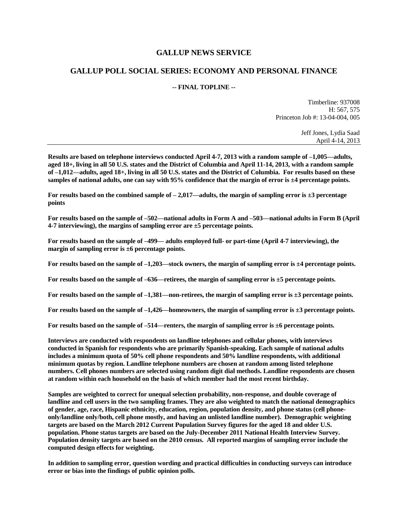### **GALLUP NEWS SERVICE**

#### **GALLUP POLL SOCIAL SERIES: ECONOMY AND PERSONAL FINANCE**

#### **-- FINAL TOPLINE --**

Timberline: 937008 H: 567, 575 Princeton Job #: 13-04-004, 005

> Jeff Jones, Lydia Saad April 4-14, 2013

**Results are based on telephone interviews conducted April 4-7, 2013 with a random sample of –1,005—adults, aged 18+, living in all 50 U.S. states and the District of Columbia and April 11-14, 2013, with a random sample of –1,012—adults, aged 18+, living in all 50 U.S. states and the District of Columbia. For results based on these samples of national adults, one can say with 95% confidence that the margin of error is ±4 percentage points.**

**For results based on the combined sample of – 2,017—adults, the margin of sampling error is ±3 percentage points**

**For results based on the sample of –502—national adults in Form A and –503—national adults in Form B (April 4-7 interviewing), the margins of sampling error are ±5 percentage points.**

**For results based on the sample of –499— adults employed full- or part-time (April 4-7 interviewing), the margin of sampling error is ±6 percentage points.**

**For results based on the sample of –1,203—stock owners, the margin of sampling error is ±4 percentage points.**

**For results based on the sample of –636—retirees, the margin of sampling error is ±5 percentage points.**

**For results based on the sample of –1,381—non-retirees, the margin of sampling error is ±3 percentage points.**

**For results based on the sample of –1,426—homeowners, the margin of sampling error is ±3 percentage points.**

**For results based on the sample of –514—renters, the margin of sampling error is ±6 percentage points.**

**Interviews are conducted with respondents on landline telephones and cellular phones, with interviews conducted in Spanish for respondents who are primarily Spanish-speaking. Each sample of national adults includes a minimum quota of 50% cell phone respondents and 50% landline respondents, with additional minimum quotas by region. Landline telephone numbers are chosen at random among listed telephone numbers. Cell phones numbers are selected using random digit dial methods. Landline respondents are chosen at random within each household on the basis of which member had the most recent birthday.**

**Samples are weighted to correct for unequal selection probability, non-response, and double coverage of landline and cell users in the two sampling frames. They are also weighted to match the national demographics of gender, age, race, Hispanic ethnicity, education, region, population density, and phone status (cell phoneonly/landline only/both, cell phone mostly, and having an unlisted landline number). Demographic weighting targets are based on the March 2012 Current Population Survey figures for the aged 18 and older U.S. population. Phone status targets are based on the July-December 2011 National Health Interview Survey. Population density targets are based on the 2010 census. All reported margins of sampling error include the computed design effects for weighting.** 

**In addition to sampling error, question wording and practical difficulties in conducting surveys can introduce error or bias into the findings of public opinion polls.**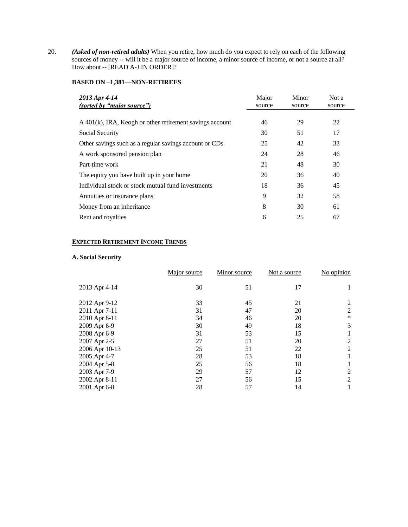20. *(Asked of non-retired adults)* When you retire, how much do you expect to rely on each of the following sources of money -- will it be a major source of income, a minor source of income, or not a source at all? How about -- [READ A-J IN ORDER]?

#### **BASED ON –1,381—NON-RETIREES**

| 2013 Apr 4-14<br>(sorted by "major source")                | Major<br>source | Minor<br>source | Not a<br>source |
|------------------------------------------------------------|-----------------|-----------------|-----------------|
|                                                            |                 |                 |                 |
| $A$ 401(k), IRA, Keogh or other retirement savings account | 46              | 29              | 22              |
| Social Security                                            | 30              | 51              | 17              |
| Other savings such as a regular savings account or CDs     | 25              | 42              | 33              |
| A work sponsored pension plan                              | 24              | 28              | 46              |
| Part-time work                                             | 21              | 48              | 30              |
| The equity you have built up in your home                  | 20              | 36              | 40              |
| Individual stock or stock mutual fund investments          | 18              | 36              | 45              |
| Annuities or insurance plans                               | 9               | 32              | 58              |
| Money from an inheritance                                  | 8               | 30              | 61              |
| Rent and royalties                                         | 6               | 25              | 67              |

### **EXPECTED RETIREMENT INCOME TRENDS**

#### **A. Social Security**

|                | Major source | Minor source | Not a source | No opinion |
|----------------|--------------|--------------|--------------|------------|
| 2013 Apr 4-14  | 30           | 51           | 17           | 1          |
| 2012 Apr 9-12  | 33           | 45           | 21           | 2          |
| 2011 Apr 7-11  | 31           | 47           | 20           | 2          |
| 2010 Apr 8-11  | 34           | 46           | 20           | $\ast$     |
| 2009 Apr 6-9   | 30           | 49           | 18           | 3          |
| 2008 Apr 6-9   | 31           | 53           | 15           |            |
| 2007 Apr 2-5   | 27           | 51           | 20           | 2          |
| 2006 Apr 10-13 | 25           | 51           | 22           | 2          |
| 2005 Apr 4-7   | 28           | 53           | 18           | 1          |
| 2004 Apr 5-8   | 25           | 56           | 18           |            |
| 2003 Apr 7-9   | 29           | 57           | 12           | 2          |
| 2002 Apr 8-11  | 27           | 56           | 15           | 2          |
| 2001 Apr 6-8   | 28           | 57           | 14           | 1          |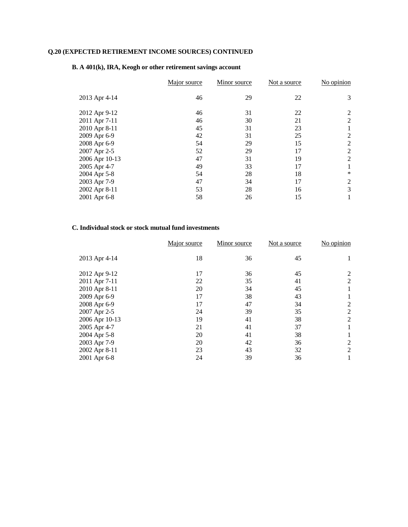|                | Major source | Minor source | Not a source | No opinion |
|----------------|--------------|--------------|--------------|------------|
| 2013 Apr 4-14  | 46           | 29           | 22           | 3          |
| 2012 Apr 9-12  | 46           | 31           | 22           | 2          |
| 2011 Apr 7-11  | 46           | 30           | 21           | 2          |
| 2010 Apr 8-11  | 45           | 31           | 23           |            |
| 2009 Apr 6-9   | 42           | 31           | 25           | 2          |
| 2008 Apr 6-9   | 54           | 29           | 15           | 2          |
| 2007 Apr 2-5   | 52           | 29           | 17           | 2          |
| 2006 Apr 10-13 | 47           | 31           | 19           | 2          |
| 2005 Apr 4-7   | 49           | 33           | 17           |            |
| 2004 Apr 5-8   | 54           | 28           | 18           | $\ast$     |
| 2003 Apr 7-9   | 47           | 34           | 17           | 2          |
| 2002 Apr 8-11  | 53           | 28           | 16           | 3          |
| 2001 Apr 6-8   | 58           | 26           | 15           |            |

#### **B. A 401(k), IRA, Keogh or other retirement savings account**

### **C. Individual stock or stock mutual fund investments**

|                | Major source | Minor source | Not a source | No opinion |
|----------------|--------------|--------------|--------------|------------|
| 2013 Apr 4-14  | 18           | 36           | 45           |            |
| 2012 Apr 9-12  | 17           | 36           | 45           | 2          |
| 2011 Apr 7-11  | 22           | 35           | 41           | 2          |
| 2010 Apr 8-11  | 20           | 34           | 45           |            |
| 2009 Apr 6-9   | 17           | 38           | 43           |            |
| 2008 Apr 6-9   | 17           | 47           | 34           | 2          |
| 2007 Apr 2-5   | 24           | 39           | 35           | 2          |
| 2006 Apr 10-13 | 19           | 41           | 38           | 2          |
| 2005 Apr 4-7   | 21           | 41           | 37           |            |
| 2004 Apr 5-8   | 20           | 41           | 38           |            |
| 2003 Apr 7-9   | 20           | 42           | 36           | 2          |
| 2002 Apr 8-11  | 23           | 43           | 32           | 2          |
| 2001 Apr 6-8   | 24           | 39           | 36           |            |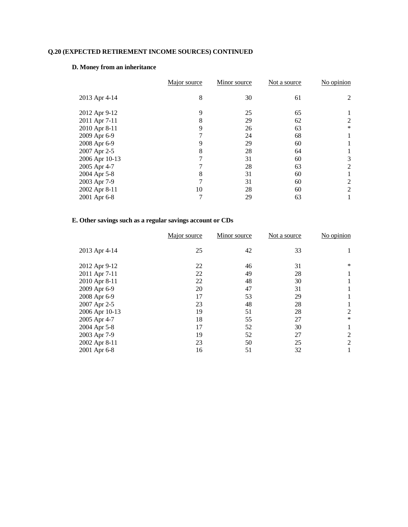#### **D. Money from an inheritance**

|                | Major source | Minor source | Not a source | No opinion |
|----------------|--------------|--------------|--------------|------------|
| 2013 Apr 4-14  | 8            | 30           | 61           | 2          |
| 2012 Apr 9-12  | 9            | 25           | 65           |            |
| 2011 Apr 7-11  | 8            | 29           | 62           | 2          |
| 2010 Apr 8-11  | 9            | 26           | 63           | *          |
| 2009 Apr 6-9   |              | 24           | 68           |            |
| 2008 Apr 6-9   | 9            | 29           | 60           |            |
| 2007 Apr 2-5   | 8            | 28           | 64           |            |
| 2006 Apr 10-13 |              | 31           | 60           | 3          |
| 2005 Apr 4-7   |              | 28           | 63           | 2          |
| 2004 Apr 5-8   | 8            | 31           | 60           |            |
| 2003 Apr 7-9   |              | 31           | 60           | 2          |
| 2002 Apr 8-11  | 10           | 28           | 60           | 2          |
| 2001 Apr 6-8   |              | 29           | 63           |            |

## **E. Other savings such as a regular savings account or CDs**

| Major source | Minor source | Not a source | No opinion |
|--------------|--------------|--------------|------------|
| 25           | 42           | 33           |            |
| 22           | 46           | 31           | ∗          |
| 22           | 49           | 28           |            |
| 22           | 48           | 30           |            |
| 20           | 47           | 31           |            |
| 17           | 53           | 29           |            |
| 23           | 48           | 28           |            |
| 19           | 51           | 28           | 2          |
| 18           | 55           | 27           | *          |
| 17           | 52           | 30           |            |
| 19           | 52           | 27           | 2          |
| 23           | 50           | 25           | 2          |
| 16           | 51           | 32           |            |
|              |              |              |            |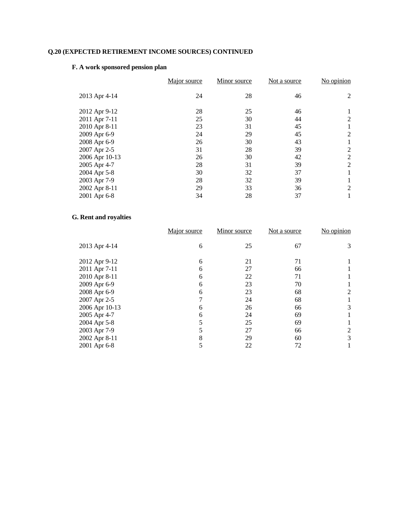## **F. A work sponsored pension plan**

| Major source | Minor source | Not a source | No opinion     |
|--------------|--------------|--------------|----------------|
| 24           | 28           | 46           | 2              |
| 28           | 25           | 46           |                |
| 25           | 30           | 44           | 2              |
| 23           | 31           | 45           |                |
| 24           | 29           | 45           | 2              |
| 26           | 30           | 43           |                |
| 31           | 28           | 39           | 2              |
| 26           | 30           | 42           | $\overline{2}$ |
| 28           | 31           | 39           | 2              |
| 30           | 32           | 37           | 1              |
| 28           | 32           | 39           |                |
| 29           | 33           | 36           | 2              |
| 34           | 28           | 37           | 1              |
|              |              |              |                |

# **G. Rent and royalties**

| Major source | Minor source | Not a source | No opinion |
|--------------|--------------|--------------|------------|
| 6            | 25           | 67           | 3          |
| 6            | 21           | 71           |            |
| 6            | 27           | 66           |            |
| 6            | 22           | 71           |            |
| 6            | 23           | 70           |            |
| 6            | 23           | 68           | 2          |
|              | 24           | 68           |            |
| 6            | 26           | 66           | 3          |
| 6            | 24           | 69           |            |
|              | 25           | 69           |            |
|              | 27           | 66           | 2          |
| 8            | 29           | 60           | 3          |
|              | 22           | 72           |            |
|              |              |              |            |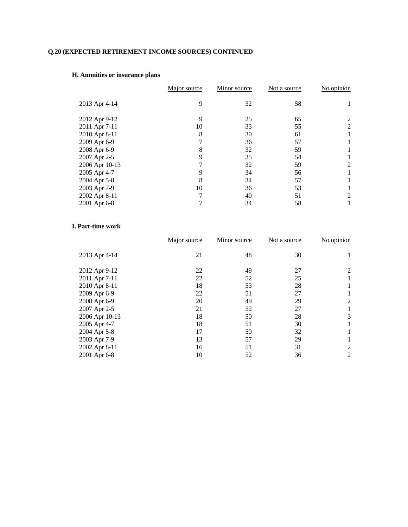# **H. Annuities or insurance plans**

|                | Major source | Minor source | Not a source | No opinion |
|----------------|--------------|--------------|--------------|------------|
| 2013 Apr 4-14  | 9            | 32           | 58           |            |
| 2012 Apr 9-12  | 9            | 25           | 65           |            |
| 2011 Apr 7-11  | 10           | 33           | 55           | 2          |
| 2010 Apr 8-11  | 8            | 30           | 61           |            |
| 2009 Apr 6-9   |              | 36           | 57           |            |
| 2008 Apr 6-9   | 8            | 32           | 59           |            |
| 2007 Apr 2-5   | 9            | 35           | 54           |            |
| 2006 Apr 10-13 |              | 32           | 59           | 2          |
| 2005 Apr 4-7   |              | 34           | 56           |            |
| 2004 Apr 5-8   | 8            | 34           | 57           |            |
| 2003 Apr 7-9   | 10           | 36           | 53           |            |
| 2002 Apr 8-11  |              | 40           | 51           | 2          |
| 2001 Apr 6-8   |              | 34           | 58           |            |
|                |              |              |              |            |

#### **I. Part-time work**

|                | Major source | Minor source | Not a source | No opinion |
|----------------|--------------|--------------|--------------|------------|
| 2013 Apr 4-14  | 21           | 48           | 30           |            |
| 2012 Apr 9-12  | 22           | 49           | 27           | 2          |
| 2011 Apr 7-11  | 22           | 52           | 25           |            |
| 2010 Apr 8-11  | 18           | 53           | 28           |            |
| 2009 Apr 6-9   | 22           | 51           | 27           |            |
| 2008 Apr 6-9   | 20           | 49           | 29           | 2          |
| 2007 Apr 2-5   | 21           | 52           | 27           |            |
| 2006 Apr 10-13 | 18           | 50           | 28           | 3          |
| 2005 Apr 4-7   | 18           | 51           | 30           |            |
| 2004 Apr 5-8   | 17           | 50           | 32           |            |
| 2003 Apr 7-9   | 13           | 57           | 29           |            |
| 2002 Apr 8-11  | 16           | 51           | 31           | 2          |
| 2001 Apr 6-8   | 10           | 52           | 36           | 2          |